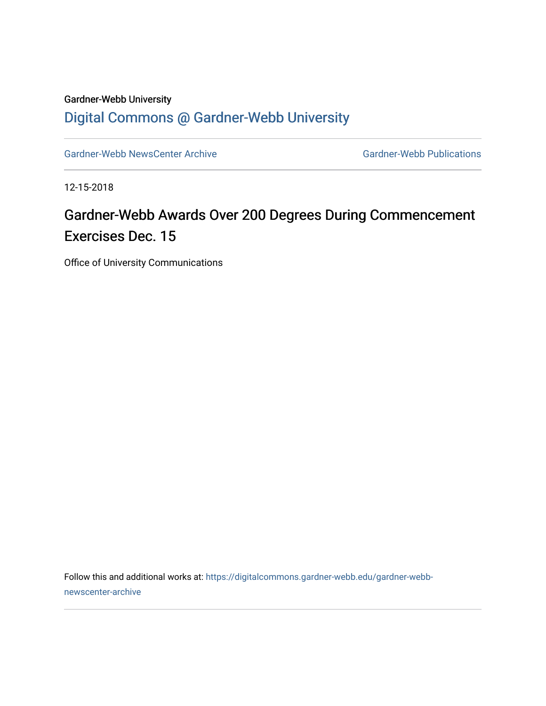## Gardner-Webb University [Digital Commons @ Gardner-Webb University](https://digitalcommons.gardner-webb.edu/)

[Gardner-Webb NewsCenter Archive](https://digitalcommons.gardner-webb.edu/gardner-webb-newscenter-archive) Gardner-Webb Publications

12-15-2018

## Gardner-Webb Awards Over 200 Degrees During Commencement Exercises Dec. 15

Office of University Communications

Follow this and additional works at: [https://digitalcommons.gardner-webb.edu/gardner-webb](https://digitalcommons.gardner-webb.edu/gardner-webb-newscenter-archive?utm_source=digitalcommons.gardner-webb.edu%2Fgardner-webb-newscenter-archive%2F336&utm_medium=PDF&utm_campaign=PDFCoverPages)[newscenter-archive](https://digitalcommons.gardner-webb.edu/gardner-webb-newscenter-archive?utm_source=digitalcommons.gardner-webb.edu%2Fgardner-webb-newscenter-archive%2F336&utm_medium=PDF&utm_campaign=PDFCoverPages)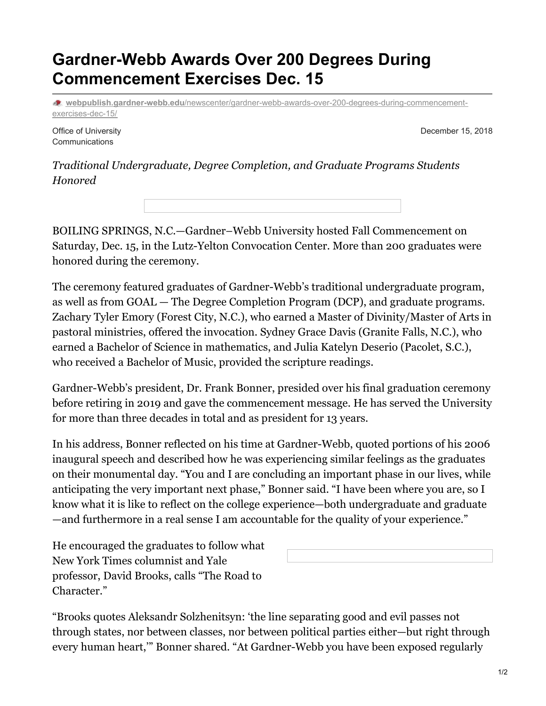## **Gardner-Webb Awards Over 200 Degrees During Commencement Exercises Dec. 15**

**webpublish.gardner-webb.edu**[/newscenter/gardner-webb-awards-over-200-degrees-during-commencement](https://webpublish.gardner-webb.edu/newscenter/gardner-webb-awards-over-200-degrees-during-commencement-exercises-dec-15/)exercises-dec-15/

Office of University Communications

December 15, 2018

*Traditional Undergraduate, Degree Completion, and Graduate Programs Students Honored*

BOILING SPRINGS, N.C.—Gardner–Webb University hosted Fall Commencement on Saturday, Dec. 15, in the Lutz-Yelton Convocation Center. More than 200 graduates were honored during the ceremony.

The ceremony featured graduates of Gardner-Webb's traditional undergraduate program, as well as from GOAL — The Degree Completion Program (DCP), and graduate programs. Zachary Tyler Emory (Forest City, N.C.), who earned a Master of Divinity/Master of Arts in pastoral ministries, offered the invocation. Sydney Grace Davis (Granite Falls, N.C.), who earned a Bachelor of Science in mathematics, and Julia Katelyn Deserio (Pacolet, S.C.), who received a Bachelor of Music, provided the scripture readings.

Gardner-Webb's president, Dr. Frank Bonner, presided over his final graduation ceremony before retiring in 2019 and gave the commencement message. He has served the University for more than three decades in total and as president for 13 years.

In his address, Bonner reflected on his time at Gardner-Webb, quoted portions of his 2006 inaugural speech and described how he was experiencing similar feelings as the graduates on their monumental day. "You and I are concluding an important phase in our lives, while anticipating the very important next phase," Bonner said. "I have been where you are, so I know what it is like to reflect on the college experience—both undergraduate and graduate —and furthermore in a real sense I am accountable for the quality of your experience."

He encouraged the graduates to follow what New York Times columnist and Yale professor, David Brooks, calls "The Road to Character."

"Brooks quotes Aleksandr Solzhenitsyn: 'the line separating good and evil passes not through states, nor between classes, nor between political parties either—but right through every human heart,'" Bonner shared. "At Gardner-Webb you have been exposed regularly